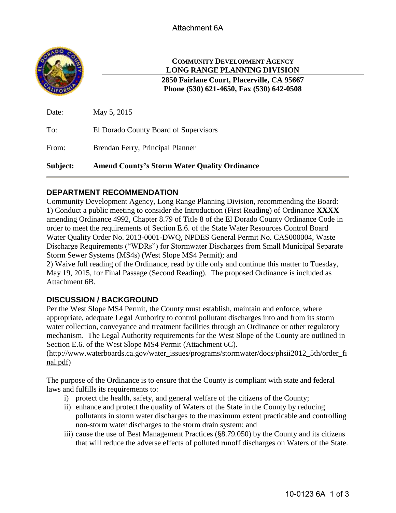

## **COMMUNITY DEVELOPMENT AGENCY LONG RANGE PLANNING DIVISION**

**2850 Fairlane Court, Placerville, CA 95667 Phone (530) 621-4650, Fax (530) 642-0508**

| Subject: | <b>Amend County's Storm Water Quality Ordinance</b> |
|----------|-----------------------------------------------------|
| From:    | Brendan Ferry, Principal Planner                    |
| To:      | El Dorado County Board of Supervisors               |
| Date:    | May 5, 2015                                         |

### **DEPARTMENT RECOMMENDATION**

Community Development Agency, Long Range Planning Division, recommending the Board: 1) Conduct a public meeting to consider the Introduction (First Reading) of Ordinance **XXXX** amending Ordinance 4992, Chapter 8.79 of Title 8 of the El Dorado County Ordinance Code in order to meet the requirements of Section E.6. of the State Water Resources Control Board Water Quality Order No. 2013-0001-DWQ, NPDES General Permit No. CAS000004, Waste Discharge Requirements ("WDRs") for Stormwater Discharges from Small Municipal Separate Storm Sewer Systems (MS4s) (West Slope MS4 Permit); and

2) Waive full reading of the Ordinance, read by title only and continue this matter to Tuesday, May 19, 2015, for Final Passage (Second Reading). The proposed Ordinance is included as Attachment 6B.

#### **DISCUSSION / BACKGROUND**

Per the West Slope MS4 Permit, the County must establish, maintain and enforce, where appropriate, adequate Legal Authority to control pollutant discharges into and from its storm water collection, conveyance and treatment facilities through an Ordinance or other regulatory mechanism. The Legal Authority requirements for the West Slope of the County are outlined in Section E.6. of the West Slope MS4 Permit (Attachment 6C).

[\(http://www.waterboards.ca.gov/water\\_issues/programs/stormwater/docs/phsii2012\\_5th/order\\_fi](http://www.waterboards.ca.gov/water_issues/programs/stormwater/docs/phsii2012_5th/order_final.pdf) [nal.pdf\)](http://www.waterboards.ca.gov/water_issues/programs/stormwater/docs/phsii2012_5th/order_final.pdf)

The purpose of the Ordinance is to ensure that the County is compliant with state and federal laws and fulfills its requirements to:

- i) protect the health, safety, and general welfare of the citizens of the County;
- ii) enhance and protect the quality of Waters of the State in the County by reducing pollutants in storm water discharges to the maximum extent practicable and controlling non-storm water discharges to the storm drain system; and
- iii) cause the use of Best Management Practices (§8.79.050) by the County and its citizens that will reduce the adverse effects of polluted runoff discharges on Waters of the State.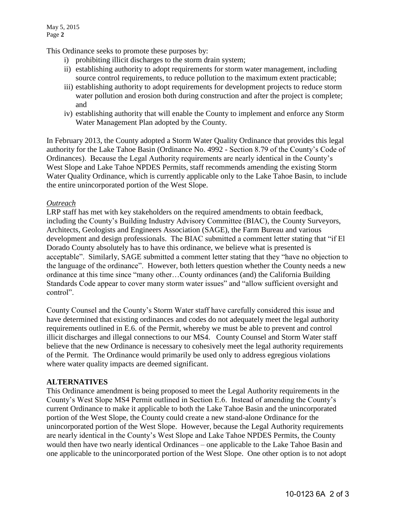This Ordinance seeks to promote these purposes by:

- i) prohibiting illicit discharges to the storm drain system;
- ii) establishing authority to adopt requirements for storm water management, including source control requirements, to reduce pollution to the maximum extent practicable;
- iii) establishing authority to adopt requirements for development projects to reduce storm water pollution and erosion both during construction and after the project is complete; and
- iv) establishing authority that will enable the County to implement and enforce any Storm Water Management Plan adopted by the County.

In February 2013, the County adopted a Storm Water Quality Ordinance that provides this legal authority for the Lake Tahoe Basin (Ordinance No. 4992 - Section 8.79 of the County's Code of Ordinances). Because the Legal Authority requirements are nearly identical in the County's West Slope and Lake Tahoe NPDES Permits, staff recommends amending the existing Storm Water Quality Ordinance, which is currently applicable only to the Lake Tahoe Basin, to include the entire unincorporated portion of the West Slope.

#### *Outreach*

LRP staff has met with key stakeholders on the required amendments to obtain feedback, including the County's Building Industry Advisory Committee (BIAC), the County Surveyors, Architects, Geologists and Engineers Association (SAGE), the Farm Bureau and various development and design professionals. The BIAC submitted a comment letter stating that "if El Dorado County absolutely has to have this ordinance, we believe what is presented is acceptable". Similarly, SAGE submitted a comment letter stating that they "have no objection to the language of the ordinance". However, both letters question whether the County needs a new ordinance at this time since "many other…County ordinances (and) the California Building Standards Code appear to cover many storm water issues" and "allow sufficient oversight and control".

County Counsel and the County's Storm Water staff have carefully considered this issue and have determined that existing ordinances and codes do not adequately meet the legal authority requirements outlined in E.6. of the Permit, whereby we must be able to prevent and control illicit discharges and illegal connections to our MS4. County Counsel and Storm Water staff believe that the new Ordinance is necessary to cohesively meet the legal authority requirements of the Permit. The Ordinance would primarily be used only to address egregious violations where water quality impacts are deemed significant.

#### **ALTERNATIVES**

This Ordinance amendment is being proposed to meet the Legal Authority requirements in the County's West Slope MS4 Permit outlined in Section E.6. Instead of amending the County's current Ordinance to make it applicable to both the Lake Tahoe Basin and the unincorporated portion of the West Slope, the County could create a new stand-alone Ordinance for the unincorporated portion of the West Slope. However, because the Legal Authority requirements are nearly identical in the County's West Slope and Lake Tahoe NPDES Permits, the County would then have two nearly identical Ordinances – one applicable to the Lake Tahoe Basin and one applicable to the unincorporated portion of the West Slope. One other option is to not adopt